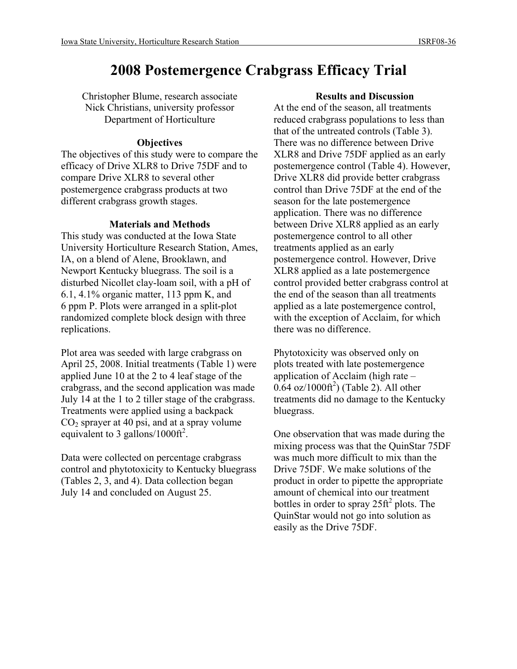# **2008 Postemergence Crabgrass Efficacy Trial**

Christopher Blume, research associate Nick Christians, university professor Department of Horticulture

## **Objectives**

The objectives of this study were to compare the efficacy of Drive XLR8 to Drive 75DF and to compare Drive XLR8 to several other postemergence crabgrass products at two different crabgrass growth stages.

### **Materials and Methods**

This study was conducted at the Iowa State University Horticulture Research Station, Ames, IA, on a blend of Alene, Brooklawn, and Newport Kentucky bluegrass. The soil is a disturbed Nicollet clay-loam soil, with a pH of 6.1, 4.1% organic matter, 113 ppm K, and 6 ppm P. Plots were arranged in a split-plot randomized complete block design with three replications.

Plot area was seeded with large crabgrass on April 25, 2008. Initial treatments (Table 1) were applied June 10 at the 2 to 4 leaf stage of the crabgrass, and the second application was made July 14 at the 1 to 2 tiller stage of the crabgrass. Treatments were applied using a backpack  $CO<sub>2</sub>$  sprayer at 40 psi, and at a spray volume equivalent to 3 gallons/1000ft<sup>2</sup>.

Data were collected on percentage crabgrass control and phytotoxicity to Kentucky bluegrass (Tables 2, 3, and 4). Data collection began July 14 and concluded on August 25.

#### **Results and Discussion**

At the end of the season, all treatments reduced crabgrass populations to less than that of the untreated controls (Table 3). There was no difference between Drive XLR8 and Drive 75DF applied as an early postemergence control (Table 4). However, Drive XLR8 did provide better crabgrass control than Drive 75DF at the end of the season for the late postemergence application. There was no difference between Drive XLR8 applied as an early postemergence control to all other treatments applied as an early postemergence control. However, Drive XLR8 applied as a late postemergence control provided better crabgrass control at the end of the season than all treatments applied as a late postemergence control, with the exception of Acclaim, for which there was no difference.

Phytotoxicity was observed only on plots treated with late postemergence application of Acclaim (high rate –  $0.64$  oz/1000ft<sup>2</sup>) (Table 2). All other treatments did no damage to the Kentucky bluegrass.

One observation that was made during the mixing process was that the QuinStar 75DF was much more difficult to mix than the Drive 75DF. We make solutions of the product in order to pipette the appropriate amount of chemical into our treatment bottles in order to spray  $25 \text{ ft}^2$  plots. The QuinStar would not go into solution as easily as the Drive 75DF.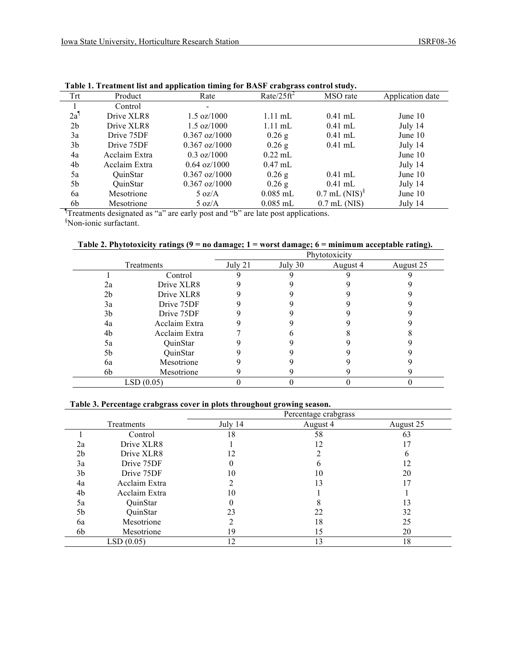| Trt            | Product         | Rate                     | Rate/ $25 \text{ft}^2$ | MSO rate                    | Application date |
|----------------|-----------------|--------------------------|------------------------|-----------------------------|------------------|
|                | Control         | $\overline{\phantom{a}}$ |                        |                             |                  |
| $2a^{\dagger}$ | Drive XLR8      | $1.5 \text{ oz}/1000$    | $1.11 \text{ mL}$      | $0.41$ mL                   | June $10$        |
| 2 <sub>b</sub> | Drive XLR8      | $1.5 \text{ oz}/1000$    | $1.11$ mL              | $0.41$ mL                   | July 14          |
| 3a             | Drive 75DF      | $0.367 \text{ oz}/1000$  | $0.26$ g               | $0.41$ mL                   | June 10          |
| 3b             | Drive 75DF      | $0.367 \text{ oz}/1000$  | 0.26g                  | $0.41$ mL                   | July 14          |
| 4a             | Acclaim Extra   | $0.3 \text{ oz}/1000$    | $0.22$ mL              |                             | June $10$        |
| 4b             | Acclaim Extra   | $0.64 \text{ oz}/1000$   | $0.47$ mL              |                             | July 14          |
| 5a             | <b>OuinStar</b> | $0.367 \text{ oz}/1000$  | $0.26$ g               | $0.41$ mL                   | June $10$        |
| 5b             | <b>OuinStar</b> | $0.367 \text{ oz}/1000$  | 0.26g                  | $0.41$ mL                   | July 14          |
| 6a             | Mesotrione      | $5 \text{ oz/A}$         | $0.085$ mL             | $0.7$ mL (NIS) <sup>§</sup> | June 10          |
| 6b             | Mesotrione      | $5 \text{ oz/A}$         | $0.085$ mL             | $0.7$ mL (NIS)              | July 14          |

| Table 1. Treatment list and application timing for BASF crabgrass control study. |
|----------------------------------------------------------------------------------|
|----------------------------------------------------------------------------------|

Treatments designated as "a" are early post and "b" are late post applications.

*SNon-ionic surfactant.* 

**Table 2. Phytotoxicity ratings (9 = no damage; 1 = worst damage; 6 = minimum acceptable rating).**

|                |               |         |           | Phytotoxicity |           |
|----------------|---------------|---------|-----------|---------------|-----------|
|                | Treatments    | July 21 | July $30$ | August 4      | August 25 |
|                | Control       |         |           |               |           |
| 2a             | Drive XLR8    |         |           |               |           |
| 2 <sub>b</sub> | Drive XLR8    |         |           |               |           |
| 3a             | Drive 75DF    |         |           |               |           |
| 3b             | Drive 75DF    |         |           |               |           |
| 4a             | Acclaim Extra |         |           |               |           |
| 4b             | Acclaim Extra |         |           |               |           |
| 5a             | QuinStar      |         |           |               |           |
| 5b             | QuinStar      |         |           |               |           |
| 6a             | Mesotrione    |         |           |               |           |
| 6b             | Mesotrione    |         |           |               |           |
| LSD(0.05)      |               |         |           |               |           |

#### **Table 3. Percentage crabgrass cover in plots throughout growing season.**

|                |               |         | Percentage crabgrass |           |
|----------------|---------------|---------|----------------------|-----------|
|                | Treatments    | July 14 | August 4             | August 25 |
|                | Control       | 18      | 58                   | 63        |
| 2a             | Drive XLR8    |         | 12                   | 17        |
| 2 <sub>b</sub> | Drive XLR8    | 12      |                      | b         |
| 3a             | Drive 75DF    | 0       | n                    | 12        |
| 3 <sub>b</sub> | Drive 75DF    | 10      | 10                   | 20        |
| 4a             | Acclaim Extra | ∍       | 13                   |           |
| 4b             | Acclaim Extra | 10      |                      |           |
| 5a             | QuinStar      | 0       | 8                    | 13        |
| 5b             | QuinStar      | 23      | 22                   | 32        |
| 6a             | Mesotrione    |         | 18                   | 25        |
| 6b             | Mesotrione    | 19      | 15                   | 20        |
|                | LSD(0.05)     | 12      | 13                   | 18        |